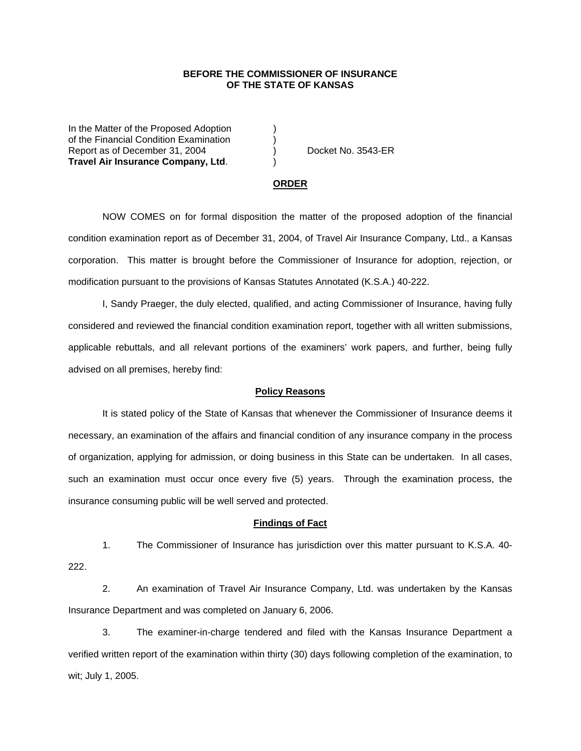## **BEFORE THE COMMISSIONER OF INSURANCE OF THE STATE OF KANSAS**

In the Matter of the Proposed Adoption of the Financial Condition Examination ) Report as of December 31, 2004 (a) Docket No. 3543-ER **Travel Air Insurance Company, Ltd**. )

#### **ORDER**

 NOW COMES on for formal disposition the matter of the proposed adoption of the financial condition examination report as of December 31, 2004, of Travel Air Insurance Company, Ltd., a Kansas corporation. This matter is brought before the Commissioner of Insurance for adoption, rejection, or modification pursuant to the provisions of Kansas Statutes Annotated (K.S.A.) 40-222.

 I, Sandy Praeger, the duly elected, qualified, and acting Commissioner of Insurance, having fully considered and reviewed the financial condition examination report, together with all written submissions, applicable rebuttals, and all relevant portions of the examiners' work papers, and further, being fully advised on all premises, hereby find:

### **Policy Reasons**

 It is stated policy of the State of Kansas that whenever the Commissioner of Insurance deems it necessary, an examination of the affairs and financial condition of any insurance company in the process of organization, applying for admission, or doing business in this State can be undertaken. In all cases, such an examination must occur once every five (5) years. Through the examination process, the insurance consuming public will be well served and protected.

#### **Findings of Fact**

 1. The Commissioner of Insurance has jurisdiction over this matter pursuant to K.S.A. 40- 222.

 2. An examination of Travel Air Insurance Company, Ltd. was undertaken by the Kansas Insurance Department and was completed on January 6, 2006.

 3. The examiner-in-charge tendered and filed with the Kansas Insurance Department a verified written report of the examination within thirty (30) days following completion of the examination, to wit; July 1, 2005.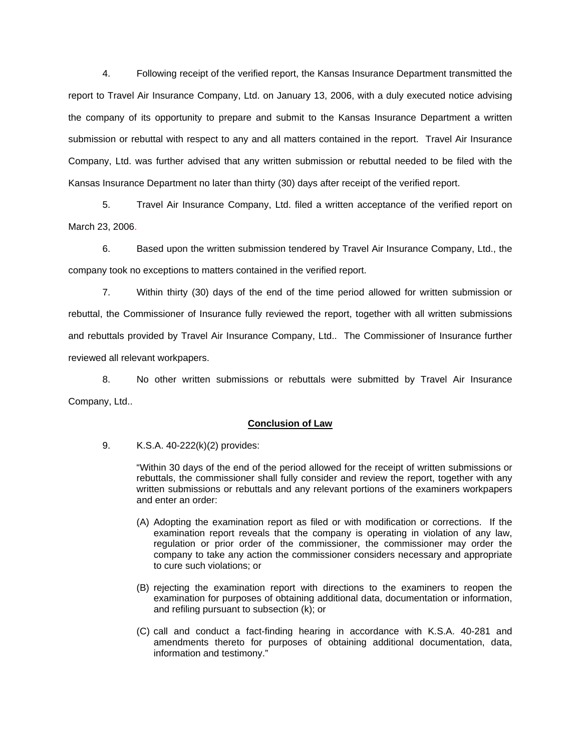4. Following receipt of the verified report, the Kansas Insurance Department transmitted the report to Travel Air Insurance Company, Ltd. on January 13, 2006, with a duly executed notice advising the company of its opportunity to prepare and submit to the Kansas Insurance Department a written submission or rebuttal with respect to any and all matters contained in the report. Travel Air Insurance Company, Ltd. was further advised that any written submission or rebuttal needed to be filed with the Kansas Insurance Department no later than thirty (30) days after receipt of the verified report.

 5. Travel Air Insurance Company, Ltd. filed a written acceptance of the verified report on March 23, 2006.

6. Based upon the written submission tendered by Travel Air Insurance Company, Ltd., the company took no exceptions to matters contained in the verified report.

 7. Within thirty (30) days of the end of the time period allowed for written submission or rebuttal, the Commissioner of Insurance fully reviewed the report, together with all written submissions and rebuttals provided by Travel Air Insurance Company, Ltd.. The Commissioner of Insurance further reviewed all relevant workpapers.

 8. No other written submissions or rebuttals were submitted by Travel Air Insurance Company, Ltd..

## **Conclusion of Law**

9. K.S.A. 40-222(k)(2) provides:

"Within 30 days of the end of the period allowed for the receipt of written submissions or rebuttals, the commissioner shall fully consider and review the report, together with any written submissions or rebuttals and any relevant portions of the examiners workpapers and enter an order:

- (A) Adopting the examination report as filed or with modification or corrections. If the examination report reveals that the company is operating in violation of any law, regulation or prior order of the commissioner, the commissioner may order the company to take any action the commissioner considers necessary and appropriate to cure such violations; or
- (B) rejecting the examination report with directions to the examiners to reopen the examination for purposes of obtaining additional data, documentation or information, and refiling pursuant to subsection (k); or
- (C) call and conduct a fact-finding hearing in accordance with K.S.A. 40-281 and amendments thereto for purposes of obtaining additional documentation, data, information and testimony."